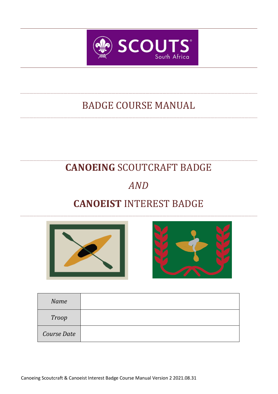

# BADGE COURSE MANUAL

# **CANOEING** SCOUTCRAFT BADGE

# *AND*

# **CANOEIST** INTEREST BADGE





| Name         |  |
|--------------|--|
| <b>Troop</b> |  |
| Course Date  |  |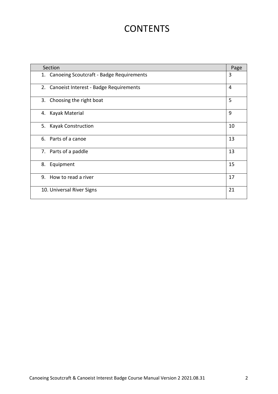# **CONTENTS**

| Section                                     | Page |
|---------------------------------------------|------|
| 1. Canoeing Scoutcraft - Badge Requirements | 3    |
| 2. Canoeist Interest - Badge Requirements   | 4    |
| 3. Choosing the right boat                  | 5    |
| 4. Kayak Material                           | 9    |
| 5.<br><b>Kayak Construction</b>             | 10   |
| 6. Parts of a canoe                         | 13   |
| 7. Parts of a paddle                        | 13   |
| 8. Equipment                                | 15   |
| 9. How to read a river                      | 17   |
| 10. Universal River Signs                   | 21   |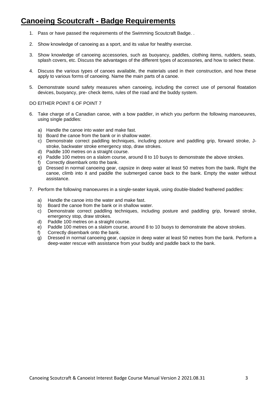# **Canoeing Scoutcraft - Badge Requirements**

- 1. Pass or have passed the requirements of the Swimming Scoutcraft Badge. .
- 2. Show knowledge of canoeing as a sport, and its value for healthy exercise.
- 3. Show knowledge of canoeing accessories, such as buoyancy, paddles, clothing items, rudders, seats, splash covers, etc. Discuss the advantages of the different types of accessories, and how to select these.
- 4. Discuss the various types of canoes available, the materials used in their construction, and how these apply to various forms of canoeing. Name the main parts of a canoe.
- 5. Demonstrate sound safety measures when canoeing, including the correct use of personal floatation devices, buoyancy, pre- check items, rules of the road and the buddy system.

#### DO EITHER POINT 6 OF POINT 7

- 6. Take charge of a Canadian canoe, with a bow paddler, in which you perform the following manoeuvres, using single paddles:
	- a) Handle the canoe into water and make fast.
	- b) Board the canoe from the bank or in shallow water.
	- c) Demonstrate correct paddling techniques, including posture and paddling grip, forward stroke, Jstroke, backwater stroke emergency stop, draw strokes.
	- d) Paddle 100 metres on a straight course.
	- e) Paddle 100 metres on a slalom course, around 8 to 10 buoys to demonstrate the above strokes.
	- f) Correctly disembark onto the bank.
	- g) Dressed in normal canoeing gear, capsize in deep water at least 50 metres from the bank. Right the canoe, climb into it and paddle the submerged canoe back to the bank. Empty the water without assistance.
- 7. Perform the following manoeuvres in a single-seater kayak, using double-bladed feathered paddles:
	- a) Handle the canoe into the water and make fast.
	- b) Board the canoe from the bank or in shallow water.
	- c) Demonstrate correct paddling techniques, including posture and paddling grip, forward stroke, emergency stop, draw strokes.
	- d) Paddle 100 metres on a straight course.
	- e) Paddle 100 metres on a slalom course, around 8 to 10 buoys to demonstrate the above strokes.
	- f) Correctly disembark onto the bank.
	- g) Dressed in normal canoeing gear, capsize in deep water at least 50 metres from the bank. Perform a deep-water rescue with assistance from your buddy and paddle back to the bank.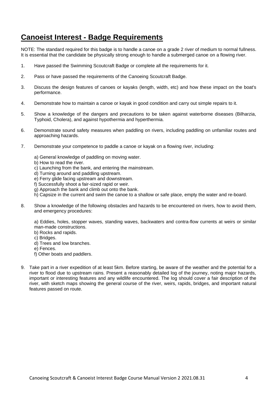# **Canoeist Interest - Badge Requirements**

NOTE: The standard required for this badge is to handle a canoe on a grade 2 river of medium to normal fullness. It is essential that the candidate be physically strong enough to handle a submerged canoe on a flowing river.

- 1. Have passed the Swimming Scoutcraft Badge or complete all the requirements for it.
- 2. Pass or have passed the requirements of the Canoeing Scoutcraft Badge.
- 3. Discuss the design features of canoes or kayaks (length, width, etc) and how these impact on the boat's performance.
- 4. Demonstrate how to maintain a canoe or kayak in good condition and carry out simple repairs to it.
- 5. Show a knowledge of the dangers and precautions to be taken against waterborne diseases (Bilharzia, Typhoid, Cholera), and against hypothermia and hyperthermia.
- 6. Demonstrate sound safety measures when paddling on rivers, including paddling on unfamiliar routes and approaching hazards.
- 7. Demonstrate your competence to paddle a canoe or kayak on a flowing river, including:
	- a) General knowledge of paddling on moving water.
	- b) How to read the river.
	- c) Launching from the bank, and entering the mainstream.
	- d) Turning around and paddling upstream.
	- e) Ferry glide facing upstream and downstream.
	- f) Successfully shoot a fair-sized rapid or weir.
	- g) Approach the bank and climb out onto the bank.
	- h) Capsize in the current and swim the canoe to a shallow or safe place, empty the water and re-board.
- 8. Show a knowledge of the following obstacles and hazards to be encountered on rivers, how to avoid them, and emergency procedures:

a) Eddies, holes, stopper waves, standing waves, backwaters and contra-flow currents at weirs or similar man-made constructions.

- b) Rocks and rapids.
- c) Bridges.
- d) Trees and low branches.
- e) Fences.
- f) Other boats and paddlers.
- 9. Take part in a river expedition of at least 5km. Before starting, be aware of the weather and the potential for a river to flood due to upstream rains. Present a reasonably detailed log of the journey, noting major hazards, important or interesting features and any wildlife encountered. The log should cover a fair description of the river, with sketch maps showing the general course of the river, weirs, rapids, bridges, and important natural features passed on route.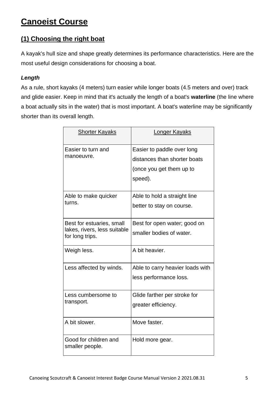# **Canoeist Course**

# **(1) Choosing the right boat**

A kayak's hull size and shape greatly determines its performance characteristics. Here are the most useful design considerations for choosing a boat.

## *Length*

As a rule, short kayaks (4 meters) turn easier while longer boats (4.5 meters and over) track and glide easier. Keep in mind that it's actually the length of a boat's **waterline** (the line where a boat actually sits in the water) that is most important. A boat's waterline may be significantly shorter than its overall length.

| <b>Shorter Kayaks</b>                                                        | <b>Longer Kayaks</b>                                                                              |
|------------------------------------------------------------------------------|---------------------------------------------------------------------------------------------------|
| Easier to turn and<br>manoeuvre.                                             | Easier to paddle over long<br>distances than shorter boats<br>(once you get them up to<br>speed). |
| Able to make quicker<br>turns.                                               | Able to hold a straight line<br>better to stay on course.                                         |
| Best for estuaries, small<br>lakes, rivers, less suitable<br>for long trips. | Best for open water; good on<br>smaller bodies of water.                                          |
| Weigh less.                                                                  | A bit heavier.                                                                                    |
| Less affected by winds.                                                      | Able to carry heavier loads with<br>less performance loss.                                        |
| Less cumbersome to<br>transport.                                             | Glide farther per stroke for<br>greater efficiency.                                               |
| A bit slower.                                                                | Move faster.                                                                                      |
| Good for children and<br>smaller people.                                     | Hold more gear.                                                                                   |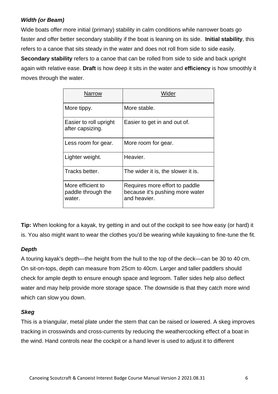# *Width (or Beam)*

Wide boats offer more initial (primary) stability in calm conditions while narrower boats go faster and offer better secondary stability if the boat is leaning on its side. **Initial stability**, this refers to a canoe that sits steady in the water and does not roll from side to side easily.

**Secondary stability** refers to a canoe that can be rolled from side to side and back upright again with relative ease. **Draft** is how deep it sits in the water and **efficiency** is how smoothly it moves through the water.

| <b>Narrow</b>                                     | Wider                                                                             |
|---------------------------------------------------|-----------------------------------------------------------------------------------|
| More tippy.                                       | More stable.                                                                      |
| Easier to roll upright<br>after capsizing.        | Easier to get in and out of.                                                      |
| Less room for gear.                               | More room for gear.                                                               |
| Lighter weight.                                   | Heavier.                                                                          |
| Tracks better.                                    | The wider it is, the slower it is.                                                |
| More efficient to<br>paddle through the<br>water. | Requires more effort to paddle<br>because it's pushing more water<br>and heavier. |

**Tip:** When looking for a kayak, try getting in and out of the cockpit to see how easy (or hard) it is. You also might want to wear the clothes you'd be wearing while kayaking to fine-tune the fit.

# *Depth*

A touring kayak's depth—the height from the hull to the top of the deck—can be 30 to 40 cm. On sit-on-tops, depth can measure from 25cm to 40cm. Larger and taller paddlers should check for ample depth to ensure enough space and legroom. Taller sides help also deflect water and may help provide more storage space. The downside is that they catch more wind which can slow you down.

### *Skeg*

This is a triangular, metal plate under the stern that can be raised or lowered. A skeg improves tracking in crosswinds and cross-currents by reducing the weathercocking effect of a boat in the wind. Hand controls near the cockpit or a hand lever is used to adjust it to different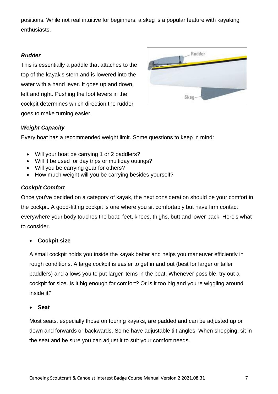positions. While not real intuitive for beginners, a skeg is a popular feature with kayaking enthusiasts.

### *Rudder*

This is essentially a paddle that attaches to the top of the kayak's stern and is lowered into the water with a hand lever. It goes up and down, left and right. Pushing the foot levers in the cockpit determines which direction the rudder goes to make turning easier.



## *Weight Capacity*

Every boat has a recommended weight limit. Some questions to keep in mind:

- Will your boat be carrying 1 or 2 paddlers?
- Will it be used for day trips or multiday outings?
- Will you be carrying gear for others?
- How much weight will you be carrying besides yourself?

## *Cockpit Comfort*

Once you've decided on a category of kayak, the next consideration should be your comfort in the cockpit. A good-fitting cockpit is one where you sit comfortably but have firm contact everywhere your body touches the boat: feet, knees, thighs, butt and lower back. Here's what to consider.

### • **Cockpit size**

A small cockpit holds you inside the kayak better and helps you maneuver efficiently in rough conditions. A large cockpit is easier to get in and out (best for larger or taller paddlers) and allows you to put larger items in the boat. Whenever possible, try out a cockpit for size. Is it big enough for comfort? Or is it too big and you're wiggling around inside it?

### • **Seat**

Most seats, especially those on touring kayaks, are padded and can be adjusted up or down and forwards or backwards. Some have adjustable tilt angles. When shopping, sit in the seat and be sure you can adjust it to suit your comfort needs.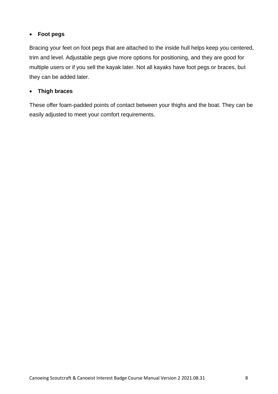## • **Foot pegs**

Bracing your feet on foot pegs that are attached to the inside hull helps keep you centered, trim and level. Adjustable pegs give more options for positioning, and they are good for multiple users or if you sell the kayak later. Not all kayaks have foot pegs or braces, but they can be added later.

### • **Thigh braces**

These offer foam-padded points of contact between your thighs and the boat. They can be easily adjusted to meet your comfort requirements.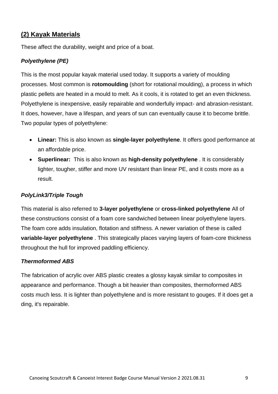# **(2) Kayak Materials**

These affect the durability, weight and price of a boat.

## *Polyethylene (PE)*

This is the most popular kayak material used today. It supports a variety of moulding processes. Most common is **rotomoulding** (short for rotational moulding), a process in which plastic pellets are heated in a mould to melt. As it cools, it is rotated to get an even thickness. Polyethylene is inexpensive, easily repairable and wonderfully impact- and abrasion-resistant. It does, however, have a lifespan, and years of sun can eventually cause it to become brittle. Two popular types of polyethylene:

- **Linear:** This is also known as **single-layer polyethylene**. It offers good performance at an affordable price.
- **Superlinear:** This is also known as **high-density polyethylene** . It is considerably lighter, tougher, stiffer and more UV resistant than linear PE, and it costs more as a result.

### *PolyLink3/Triple Tough*

This material is also referred to **3-layer polyethylene** or **cross-linked polyethylene** All of these constructions consist of a foam core sandwiched between linear polyethylene layers. The foam core adds insulation, flotation and stiffness. A newer variation of these is called **variable-layer polyethylene** . This strategically places varying layers of foam-core thickness throughout the hull for improved paddling efficiency.

### *Thermoformed ABS*

The fabrication of acrylic over ABS plastic creates a glossy kayak similar to composites in appearance and performance. Though a bit heavier than composites, thermoformed ABS costs much less. It is lighter than polyethylene and is more resistant to gouges. If it does get a ding, it's repairable.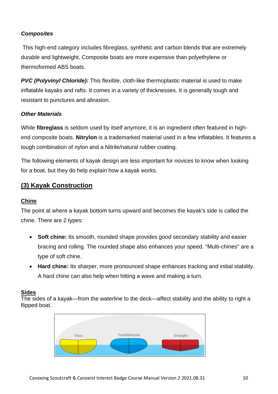# *Composites*

This high-end category includes fibreglass, synthetic and carbon blends that are extremely durable and lightweight. Composite boats are more expensive than polyethylene or thermoformed ABS boats.

*PVC (Polyvinyl Chloride):* This flexible, cloth-like thermoplastic material is used to make inflatable kayaks and rafts. It comes in a variety of thicknesses. It is generally tough and resistant to punctures and abrasion.

## *Other Materials*

While **fibreglass** is seldom used by itself anymore, it is an ingredient often featured in highend composite boats. **Nitrylon** is a trademarked material used in a few inflatables. It features a tough combination of nylon and a Nitrile/natural rubber coating.

The following elements of kayak design are less important for novices to know when looking for a boat, but they do help explain how a kayak works.

# **(3) Kayak Construction**

### **Chine**

The point at where a kayak bottom turns upward and becomes the kayak's side is called the chine. There are 2 types:

- **Soft chine:** Its smooth, rounded shape provides good secondary stability and easier bracing and rolling. The rounded shape also enhances your speed. "Multi-chines" are a type of soft chine.
- **Hard chine:** Its sharper, more pronounced shape enhances tracking and initial stability. A hard chine can also help when hitting a wave and making a turn.

### **Sides**

The sides of a kayak—from the waterline to the deck—affect stability and the ability to right a flipped boat.

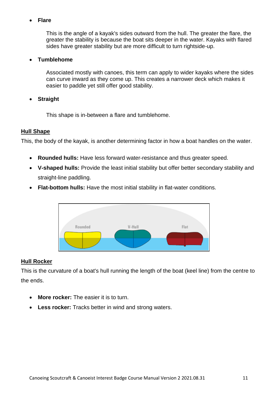### • **Flare**

This is the angle of a kayak's sides outward from the hull. The greater the flare, the greater the stability is because the boat sits deeper in the water. Kayaks with flared sides have greater stability but are more difficult to turn rightside-up.

### • **Tumblehome**

Associated mostly with canoes, this term can apply to wider kayaks where the sides can curve inward as they come up. This creates a narrower deck which makes it easier to paddle yet still offer good stability.

### • **Straight**

This shape is in-between a flare and tumblehome.

### **Hull Shape**

This, the body of the kayak, is another determining factor in how a boat handles on the water.

- **Rounded hulls:** Have less forward water-resistance and thus greater speed.
- **V-shaped hulls:** Provide the least initial stability but offer better secondary stability and straight-line paddling.
- **Flat-bottom hulls:** Have the most initial stability in flat-water conditions.



### **Hull Rocker**

This is the curvature of a boat's hull running the length of the boat (keel line) from the centre to the ends.

- **More rocker:** The easier it is to turn.
- **Less rocker:** Tracks better in wind and strong waters.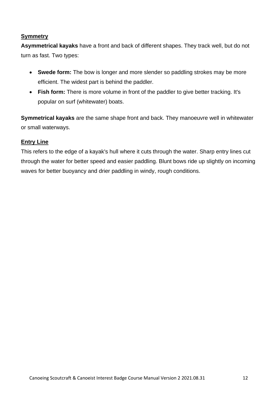### **Symmetry**

**Asymmetrical kayaks** have a front and back of different shapes. They track well, but do not turn as fast. Two types:

- **Swede form:** The bow is longer and more slender so paddling strokes may be more efficient. The widest part is behind the paddler.
- **Fish form:** There is more volume in front of the paddler to give better tracking. It's popular on surf (whitewater) boats.

**Symmetrical kayaks** are the same shape front and back. They manoeuvre well in whitewater or small waterways.

### **Entry Line**

This refers to the edge of a kayak's hull where it cuts through the water. Sharp entry lines cut through the water for better speed and easier paddling. Blunt bows ride up slightly on incoming waves for better buoyancy and drier paddling in windy, rough conditions.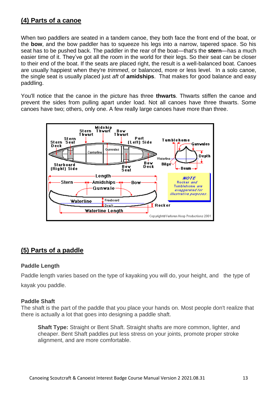# **(4) Parts of a canoe**

When two paddlers are seated in a tandem canoe, they both face the front end of the boat, or the **bow**, and the bow paddler has to squeeze his legs into a narrow, tapered space. So his seat has to be pushed back. The paddler in the rear of the boat—that's the **stern**—has a much easier time of it. They've got all the room in the world for their legs. So their seat can be closer to their end of the boat. If the seats are placed right, the result is a well-balanced boat. Canoes are usually happiest when they're *trimmed*, or balanced, more or less level. In a solo canoe, the single seat is usually placed just *aft* of **amidships**. That makes for good balance and easy paddling.

You'll notice that the canoe in the picture has three **thwarts**. Thwarts stiffen the canoe and prevent the sides from pulling apart under load. Not all canoes have three thwarts. Some canoes have two; others, only one. A few really large canoes have more than three.



# **(5) Parts of a paddle**

### **Paddle Length**

Paddle length varies based on the type of kayaking you will do, your height, and the type of kayak you paddle.

### **Paddle Shaft**

The shaft is the part of the paddle that you place your hands on. Most people don't realize that there is actually a lot that goes into designing a paddle shaft.

**Shaft Type:** Straight or Bent Shaft. Straight shafts are more common, lighter, and cheaper. Bent Shaft paddles put less stress on your joints, promote proper stroke alignment, and are more comfortable.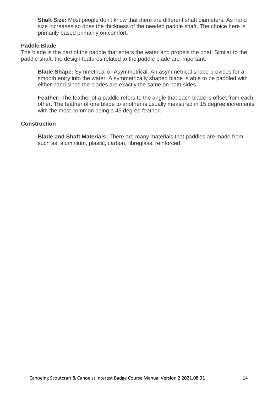**Shaft Size:** Most people don't know that there are different shaft diameters. As hand size increases so does the thickness of the needed paddle shaft. The choice here is primarily based primarily on comfort.

### **Paddle Blade**

The blade is the part of the paddle that enters the water and propels the boat. Similar to the paddle shaft, the design features related to the paddle blade are important.

**Blade Shape:** Symmetrical or Asymmetrical. An asymmetrical shape provides for a smooth entry into the water. A symmetrically shaped blade is able to be paddled with either hand since the blades are exactly the same on both sides.

**Feather:** The feather of a paddle refers to the angle that each blade is offset from each other. The feather of one blade to another is usually measured in 15 degree increments with the most common being a 45 degree feather.

### **Construction**

**Blade and Shaft Materials:** There are many materials that paddles are made from such as: aluminium, plastic, carbon, fibreglass, reinforced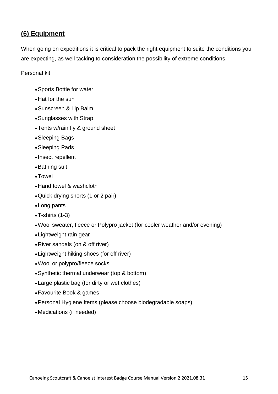# **(6) Equipment**

When going on expeditions it is critical to pack the right equipment to suite the conditions you are expecting, as well tacking to consideration the possibility of extreme conditions.

### Personal kit

- •Sports Bottle for water
- •Hat for the sun
- •Sunscreen & Lip Balm
- •Sunglasses with Strap
- •Tents w/rain fly & ground sheet
- •Sleeping Bags
- •Sleeping Pads
- Insect repellent
- •Bathing suit
- •Towel
- •Hand towel & washcloth
- •Quick drying shorts (1 or 2 pair)
- •Long pants
- •T-shirts (1-3)
- •Wool sweater, fleece or Polypro jacket (for cooler weather and/or evening)
- •Lightweight rain gear
- •River sandals (on & off river)
- •Lightweight hiking shoes (for off river)
- •Wool or polypro/fleece socks
- •Synthetic thermal underwear (top & bottom)
- •Large plastic bag (for dirty or wet clothes)
- •Favourite Book & games
- •Personal Hygiene Items (please choose biodegradable soaps)
- •Medications (if needed)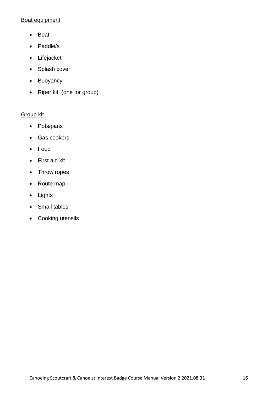## Boat equipment

- Boat
- Paddle/s
- Lifejacket
- Splash cover
- Buoyancy
- Riper kit (one for group)

## Group kit

- Pots/pans
- Gas cookers
- Food
- First aid kit
- Throw ropes
- Route map
- Lights
- Small tables
- Cooking utensils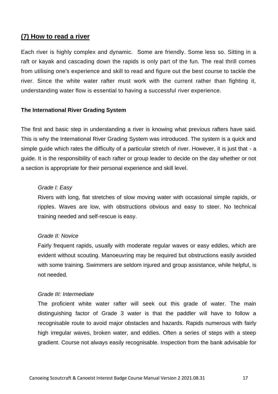# **(7) How to read a river**

Each river is highly complex and dynamic. Some are friendly. Some less so. Sitting in a raft or kayak and cascading down the rapids is only part of the fun. The real thrill comes from utilising one's experience and skill to read and figure out the best course to tackle the river. Since the white water rafter must work with the current rather than fighting it, understanding water flow is essential to having a successful river experience.

### **The International River Grading System**

The first and basic step in understanding a river is knowing what previous rafters have said. This is why the International River Grading System was introduced. The system is a quick and simple guide which rates the difficulty of a particular stretch of river. However, it is just that - a guide. It is the responsibility of each rafter or group leader to decide on the day whether or not a section is appropriate for their personal experience and skill level.

### *Grade I: Easy*

Rivers with long, flat stretches of slow moving water with occasional simple rapids, or ripples. Waves are low, with obstructions obvious and easy to steer. No technical training needed and self-rescue is easy.

#### *Grade II: Novice*

Fairly frequent rapids, usually with moderate regular waves or easy eddies, which are evident without scouting. Manoeuvring may be required but obstructions easily avoided with some training. Swimmers are seldom injured and group assistance, while helpful, is not needed.

#### *Grade III: Intermediate*

The proficient white water rafter will seek out this grade of water. The main distinguishing factor of Grade 3 water is that the paddler will have to follow a recognisable route to avoid major obstacles and hazards. Rapids numerous with fairly high irregular waves, broken water, and eddies. Often a series of steps with a steep gradient. Course not always easily recognisable. Inspection from the bank advisable for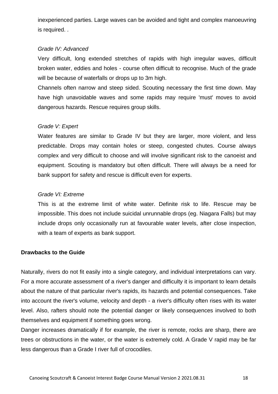inexperienced parties. Large waves can be avoided and tight and complex manoeuvring is required. .

### *Grade IV: Advanced*

Very difficult, long extended stretches of rapids with high irregular waves, difficult broken water, eddies and holes - course often difficult to recognise. Much of the grade will be because of waterfalls or drops up to 3m high.

Channels often narrow and steep sided. Scouting necessary the first time down. May have high unavoidable waves and some rapids may require 'must' moves to avoid dangerous hazards. Rescue requires group skills.

### *Grade V: Expert*

Water features are similar to Grade IV but they are larger, more violent, and less predictable. Drops may contain holes or steep, congested chutes. Course always complex and very difficult to choose and will involve significant risk to the canoeist and equipment. Scouting is mandatory but often difficult. There will always be a need for bank support for safety and rescue is difficult even for experts.

### *Grade VI: Extreme*

This is at the extreme limit of white water. Definite risk to life. Rescue may be impossible. This does not include suicidal unrunnable drops (eg. Niagara Falls) but may include drops only occasionally run at favourable water levels, after close inspection, with a team of experts as bank support.

#### **Drawbacks to the Guide**

Naturally, rivers do not fit easily into a single category, and individual interpretations can vary. For a more accurate assessment of a river's danger and difficulty it is important to learn details about the nature of that particular river's rapids, its hazards and potential consequences. Take into account the river's volume, velocity and depth - a river's difficulty often rises with its water level. Also, rafters should note the potential danger or likely consequences involved to both themselves and equipment if something goes wrong.

Danger increases dramatically if for example, the river is remote, rocks are sharp, there are trees or obstructions in the water, or the water is extremely cold. A Grade V rapid may be far less dangerous than a Grade I river full of crocodiles.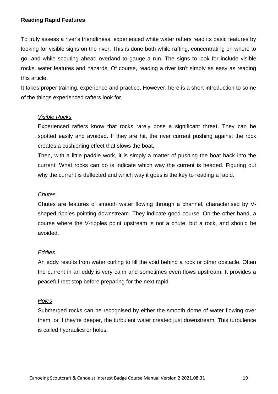### **Reading Rapid Features**

To truly assess a river's friendliness, experienced white water rafters read its basic features by looking for visible signs on the river. This is done both while rafting, concentrating on where to go, and while scouting ahead overland to gauge a run. The signs to look for include visible rocks, water features and hazards. Of course, reading a river isn't simply as easy as reading this article.

It takes proper training, experience and practice. However, here is a short introduction to some of the things experienced rafters look for.

### *Visible Rocks*

Experienced rafters know that rocks rarely pose a significant threat. They can be spotted easily and avoided. If they are hit, the river current pushing against the rock creates a cushioning effect that slows the boat.

Then, with a little paddle work, it is simply a matter of pushing the boat back into the current. What rocks can do is indicate which way the current is headed. Figuring out why the current is deflected and which way it goes is the key to reading a rapid.

### *Chutes*

Chutes are features of smooth water flowing through a channel, characterised by Vshaped ripples pointing downstream. They indicate good course. On the other hand, a course where the V-ripples point upstream is not a chute, but a rock, and should be avoided.

#### *Eddies*

An eddy results from water curling to fill the void behind a rock or other obstacle. Often the current in an eddy is very calm and sometimes even flows upstream. It provides a peaceful rest stop before preparing for the next rapid.

#### *Holes*

Submerged rocks can be recognised by either the smooth dome of water flowing over them, or if they're deeper, the turbulent water created just downstream. This turbulence is called hydraulics or holes.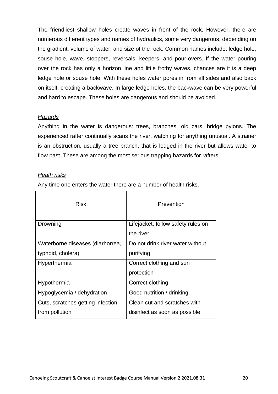The friendliest shallow holes create waves in front of the rock. However, there are numerous different types and names of hydraulics, some very dangerous, depending on the gradient, volume of water, and size of the rock. Common names include: ledge hole, souse hole, wave, stoppers, reversals, keepers, and pour-overs. If the water pouring over the rock has only a horizon line and little frothy waves, chances are it is a deep ledge hole or souse hole. With these holes water pores in from all sides and also back on itself, creating a backwave. In large ledge holes, the backwave can be very powerful and hard to escape. These holes are dangerous and should be avoided.

### *Hazards*

Anything in the water is dangerous: trees, branches, old cars, bridge pylons. The experienced rafter continually scans the river, watching for anything unusual. A strainer is an obstruction, usually a tree branch, that is lodged in the river but allows water to flow past. These are among the most serious trapping hazards for rafters.

### *Heath risks*

Any time one enters the water there are a number of health risks.

| Risk                              | Prevention                         |
|-----------------------------------|------------------------------------|
| Drowning                          | Lifejacket, follow safety rules on |
|                                   | the river                          |
| Waterborne diseases (diarhorrea,  | Do not drink river water without   |
| typhoid, cholera)                 | purifying                          |
| Hyperthermia                      | Correct clothing and sun           |
|                                   | protection                         |
| Hypothermia                       | Correct clothing                   |
| Hypoglycemia / dehydration        | Good nutrition / drinking          |
| Cuts, scratches getting infection | Clean cut and scratches with       |
| from pollution                    | disinfect as soon as possible      |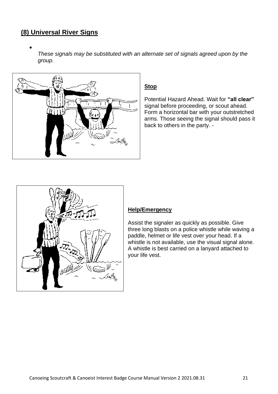# **(8) Universal River Signs**

•

*These signals may be substituted with an alternate set of signals agreed upon by the group.*



## **Stop**

Potential Hazard Ahead. Wait for **"all clear"** signal before proceeding, or scout ahead. Form a horizontal bar with your outstretched arms. Those seeing the signal should pass it back to others in the party. -



### **Help/Emergency**

Assist the signaler as quickly as possible. Give three long blasts on a police whistle while waving a paddle, helmet or life vest over your head. If a whistle is not available, use the visual signal alone. A whistle is best carried on a lanyard attached to your life vest.